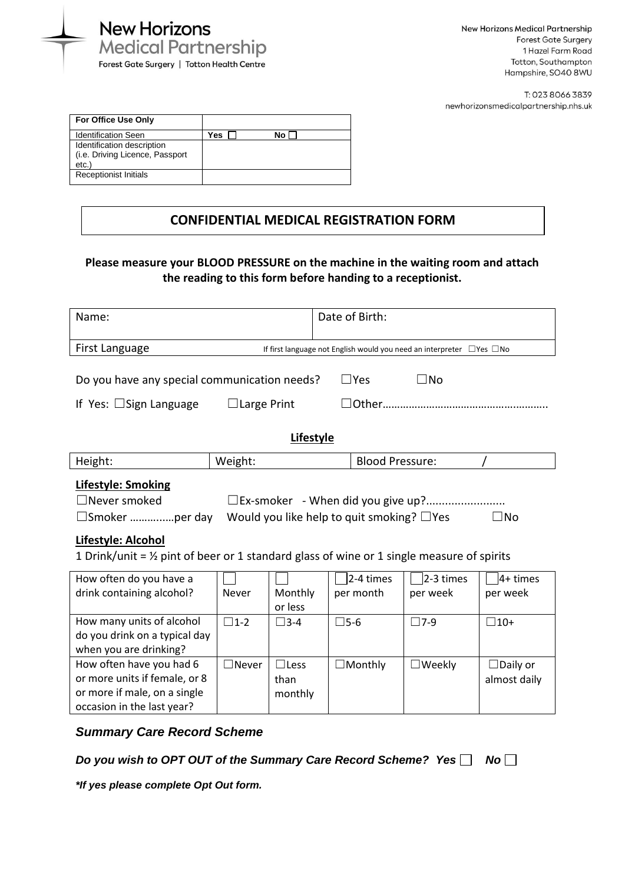

| For Office Use Only                                           |     |    |  |
|---------------------------------------------------------------|-----|----|--|
| <b>Identification Seen</b>                                    | Yes | No |  |
| Identification description<br>(i.e. Driving Licence, Passport |     |    |  |
| etc.                                                          |     |    |  |
| <b>Receptionist Initials</b>                                  |     |    |  |

## **CONFIDENTIAL MEDICAL REGISTRATION FORM**

## **Please measure your BLOOD PRESSURE on the machine in the waiting room and attach the reading to this form before handing to a receptionist.**

| Name:                                                                                                                                                                                                                                                                  | Date of Birth: |                                |                            |                       |                                 |  |  |  |
|------------------------------------------------------------------------------------------------------------------------------------------------------------------------------------------------------------------------------------------------------------------------|----------------|--------------------------------|----------------------------|-----------------------|---------------------------------|--|--|--|
| First Language<br>If first language not English would you need an interpreter □ Yes □ No                                                                                                                                                                               |                |                                |                            |                       |                                 |  |  |  |
| Do you have any special communication needs?<br>If Yes: $\Box$ Sign Language<br>$\Box$ Large Print                                                                                                                                                                     |                |                                | $\square$ Yes<br>$\Box$ No |                       |                                 |  |  |  |
| <b>Lifestyle</b>                                                                                                                                                                                                                                                       |                |                                |                            |                       |                                 |  |  |  |
| Height:                                                                                                                                                                                                                                                                | Weight:        |                                | <b>Blood Pressure:</b>     |                       |                                 |  |  |  |
| Lifestyle: Smoking<br>$\Box$ Never smoked<br>Would you like help to quit smoking? $\Box$ Yes<br>$\square$ No<br>$\square$ Smoker per day<br>Lifestyle: Alcohol<br>1 Drink/unit = $\frac{1}{2}$ pint of beer or 1 standard glass of wine or 1 single measure of spirits |                |                                |                            |                       |                                 |  |  |  |
| How often do you have a<br>drink containing alcohol?                                                                                                                                                                                                                   | <b>Never</b>   | Monthly<br>or less             | 2-4 times<br>per month     | 2-3 times<br>per week | $ 4+$ times<br>per week         |  |  |  |
| How many units of alcohol<br>do you drink on a typical day<br>when you are drinking?                                                                                                                                                                                   | $\square$ 1-2  | $\square$ 3-4                  | $\square$ 5-6              | $\square$ 7-9         | $\square$ 10+                   |  |  |  |
| How often have you had 6<br>or more units if female, or 8<br>or more if male, on a single<br>occasion in the last year?                                                                                                                                                | $\Box$ Never   | $\Box$ Less<br>than<br>monthly | $\Box$ Monthly             | $\square$ Weekly      | $\Box$ Daily or<br>almost daily |  |  |  |

## *Summary Care Record Scheme*

*Do you wish to OPT OUT of the Summary Care Record Scheme? Yes* □ No □

*\*If yes please complete Opt Out form.*